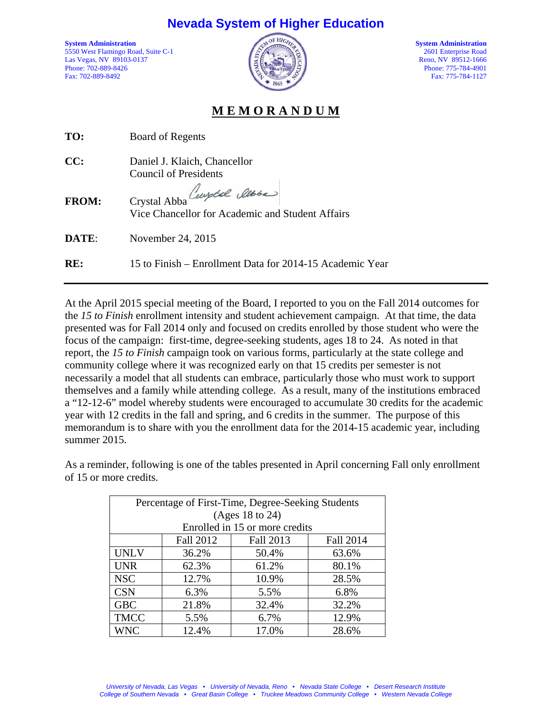## **Nevada System of Higher Education**

5550 West Flamingo Road, Suite C-1 2601 Enterprise Road<br>Las Vegas, NV 89103-0137 Reno, NV 89512-1666 Las Vegas, NV 89103-0137 Phone: 702-889-8426 Phone: 702-889-8426 Phone: 702-889-8426 Phone: 775-784-4901



Fax: 775-784-1127

## **M E M O R A N D U M**

| TO:          | Board of Regents                                                              |  |
|--------------|-------------------------------------------------------------------------------|--|
| CC:          | Daniel J. Klaich, Chancellor<br><b>Council of Presidents</b>                  |  |
| <b>FROM:</b> | Crystal Abba Cuptil alber<br>Vice Chancellor for Academic and Student Affairs |  |
| <b>DATE:</b> | November 24, 2015                                                             |  |
| RE:          | 15 to Finish – Enrollment Data for 2014-15 Academic Year                      |  |

At the April 2015 special meeting of the Board, I reported to you on the Fall 2014 outcomes for the *15 to Finish* enrollment intensity and student achievement campaign. At that time, the data presented was for Fall 2014 only and focused on credits enrolled by those student who were the focus of the campaign: first-time, degree-seeking students, ages 18 to 24. As noted in that report, the *15 to Finish* campaign took on various forms, particularly at the state college and community college where it was recognized early on that 15 credits per semester is not necessarily a model that all students can embrace, particularly those who must work to support themselves and a family while attending college. As a result, many of the institutions embraced a "12-12-6" model whereby students were encouraged to accumulate 30 credits for the academic year with 12 credits in the fall and spring, and 6 credits in the summer. The purpose of this memorandum is to share with you the enrollment data for the 2014-15 academic year, including summer 2015.

Percentage of First-Time, Degree-Seeking Students (Ages 18 to 24) Enrolled in 15 or more credits Fall 2012 | Fall 2013 | Fall 2014 UNLV | 36.2% | 50.4% | 63.6% UNR | 62.3% | 61.2% | 80.1% NSC | 12.7% | 10.9% | 28.5%  $CSN$  6.3% 5.5% 6.8% GBC | 21.8% | 32.4% | 32.2% TMCC | 5.5% | 6.7% | 12.9% WNC 12.4% 17.0% 28.6%

As a reminder, following is one of the tables presented in April concerning Fall only enrollment of 15 or more credits.